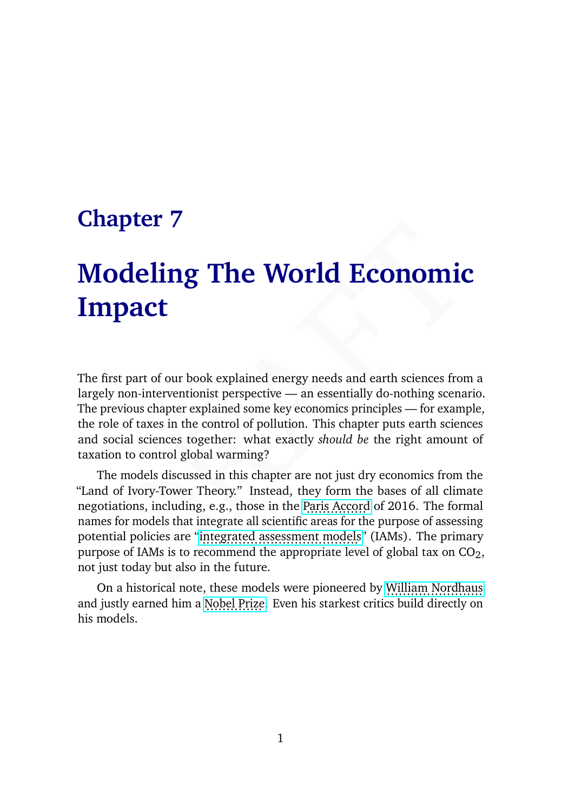## **Chapter 7**

# **Modeling The World Economic Impact**

The first part of our book explained energy needs and earth sciences from a largely non-interventionist perspective — an essentially do-nothing scenario. The previous chapter explained some key economics principles — for example, the role of taxes in the control of pollution. This chapter puts earth sciences and social sciences together: what exactly *should be* the right amount of taxation to control global warming?

**IO[D](https://en.wikipedia.org/wiki/Integrated_assessment_modelling)ELITY The World Economic CONDITIC SCALL SECTION CONDITION**<br> **IDPACT**<br>
first part of our book explained energy needs and earth sciences from a<br>
ely non-interventionist perspective — an essentially do-nothing scenario.<br> The models discussed in this chapter are not just dry economics from the "Land of Ivory-Tower Theory." Instead, they form the bases of all climate negotiations, including, e.g., those in the Paris Accord of 2016. The formal names for models that integrate all scientific areas for the purpose of assessing potential policies are "integrated assessment models" (IAMs). The primary purpose of IAMs is to recommend the appropriate level of global tax on  $CO<sub>2</sub>$ , not just today but also in the future.

On a historical note, these models were pioneered by [William Nordhaus](https://en.wikipedia.org/wiki/William_Nordhaus) and justly earned him a [Nobel Prize.](https://www.nobelprize.org/prizes/economic-sciences/2018/nordhaus/facts/) Even his starkest critics build directly on his models.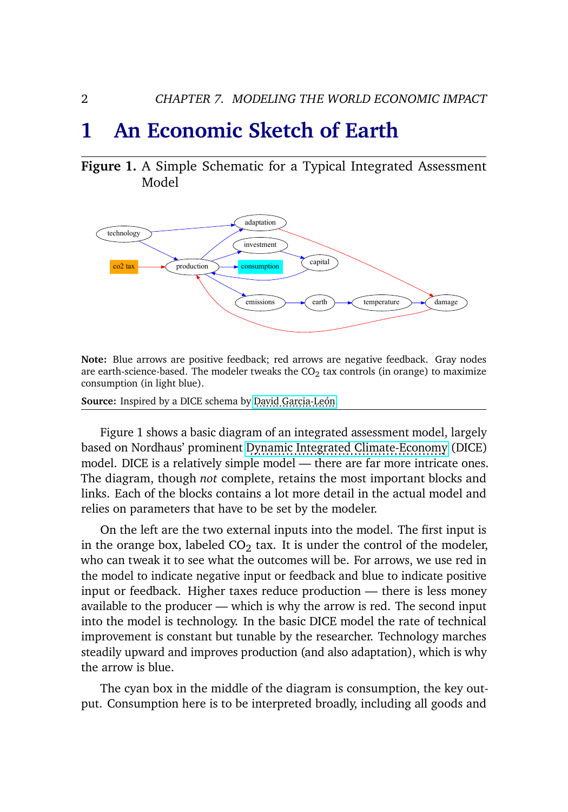### **1 An Economic Sketch of Earth**

**Figure 1.** A Simple Schematic for a Typical Integrated Assessment Model



**Note:** Blue arrows are positive feedback; red arrows are negative feedback. Gray nodes are earth-science-based. The modeler tweaks the CO $_2$  tax controls (in orange) to maximize consumption (in light blue).

**Source:** Inspired by a DICE schema by [David Garcia-León.](https://personal.ems.psu.edu/~dmb53/Earth_System_Models/DICE_Background.html)

Figure 1 shows a basic diagram of an integrated assessment model, largely based on Nordhaus' prominent [Dynamic Integrated Climate-Economy](https://en.wikipedia.org/wiki/DICE_model) (DICE) model. DICE is a relatively simple model — there are far more intricate ones. The diagram, though *not* complete, retains the most important blocks and links. Each of the blocks contains a lot more detail in the actual model and relies on parameters that have to be set by the modeler.

On the left are the two external inputs into the model. The first input is in the orange box, labeled  $CO<sub>2</sub>$  tax. It is under the control of the modeler, who can tweak it to see what the outcomes will be. For arrows, we use red in the model to indicate negative input or feedback and blue to indicate positive input or feedback. Higher taxes reduce production — there is less money available to the producer — which is why the arrow is red. The second input into the model is technology. In the basic DICE model the rate of technical improvement is constant but tunable by the researcher. Technology marches steadily upward and improves production (and also adaptation), which is why the arrow is blue.

The cyan box in the middle of the diagram is consumption, the key output. Consumption here is to be interpreted broadly, including all goods and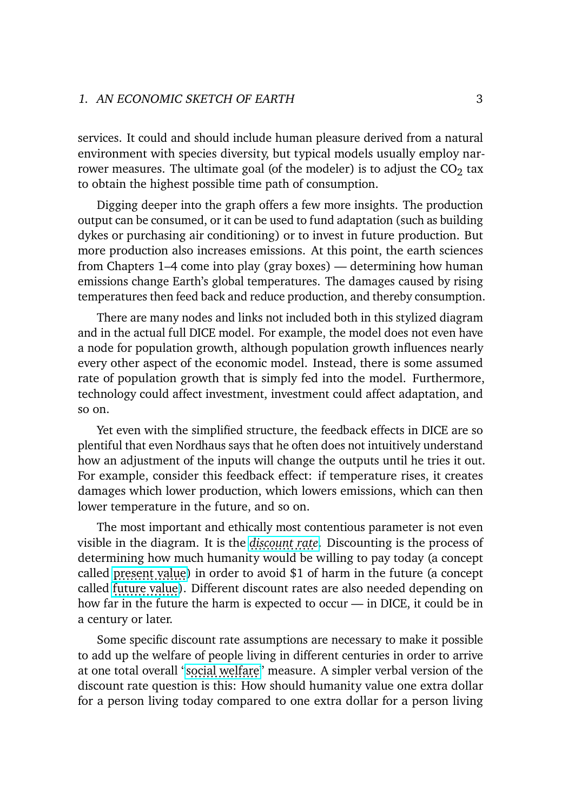#### 1. AN ECONOMIC SKETCH OF EARTH 3

services. It could and should include human pleasure derived from a natural environment with species diversity, but typical models usually employ narrower measures. The ultimate goal (of the modeler) is to adjust the  $CO<sub>2</sub>$  tax to obtain the highest possible time path of consumption.

Digging deeper into the graph offers a few more insights. The production output can be consumed, or it can be used to fund adaptation (such as building dykes or purchasing air conditioning) or to invest in future production. But more production also increases emissions. At this point, the earth sciences from Chapters 1–4 come into play (gray boxes) — determining how human emissions change Earth's global temperatures. The damages caused by rising temperatures then feed back and reduce production, and thereby consumption.

There are many nodes and links not included both in this stylized diagram and in the actual full DICE model. For example, the model does not even have a node for population growth, although population growth influences nearly every other aspect of the economic model. Instead, there is some assumed rate of population growth that is simply fed into the model. Furthermore, technology could affect investment, investment could affect adaptation, and so on.

Yet even with the simplified structure, the feedback effects in DICE are so plentiful that even Nordhaus says that he often does not intuitively understand how an adjustment of the inputs will change the outputs until he tries it out. For example, consider this feedback effect: if temperature rises, it creates damages which lower production, which lowers emissions, which can then lower temperature in the future, and so on.

The most important and ethically most contentious parameter is not even visible in the diagram. It is the *[discount rate](https://en.wikipedia.org/wiki/Social_discount_rate)*. Discounting is the process of determining how much humanity would be willing to pay today (a concept called [present value\)](https://en.wikipedia.org/wiki/Present_value) in order to avoid  $$1$  of harm in the future (a concept called [future value\)](https://en.wikipedia.org/wiki/Future_value). Different discount rates are also needed depending on how far in the future the harm is expected to occur — in DICE, it could be in a century or later.

Some specific discount rate assumptions are necessary to make it possible to add up the welfare of people living in different centuries in order to arrive at one total overall "[social welfare"](https://en.wikipedia.org/wiki/Social_welfare_function) measure. A simpler verbal version of the discount rate question is this: How should humanity value one extra dollar for a person living today compared to one extra dollar for a person living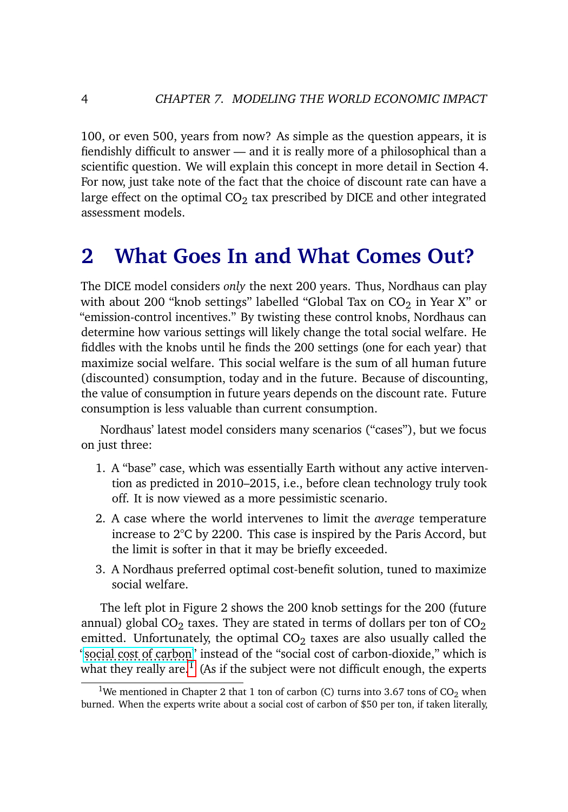100, or even 500, years from now? As simple as the question appears, it is fiendishly difficult to answer — and it is really more of a philosophical than a scientific question. We will explain this concept in more detail in Section 4. For now, just take note of the fact that the choice of discount rate can have a large effect on the optimal  $CO<sub>2</sub>$  tax prescribed by DICE and other integrated assessment models.

### **2 What Goes In and What Comes Out?**

The DICE model considers *only* the next 200 years. Thus, Nordhaus can play with about 200 "knob settings" labelled "Global Tax on  $CO<sub>2</sub>$  in Year X" or "emission-control incentives." By twisting these control knobs, Nordhaus can determine how various settings will likely change the total social welfare. He fiddles with the knobs until he finds the 200 settings (one for each year) that maximize social welfare. This social welfare is the sum of all human future (discounted) consumption, today and in the future. Because of discounting, the value of consumption in future years depends on the discount rate. Future consumption is less valuable than current consumption.

Nordhaus' latest model considers many scenarios ("cases"), but we focus on just three:

- 1. A "base" case, which was essentially Earth without any active intervention as predicted in 2010–2015, i.e., before clean technology truly took off. It is now viewed as a more pessimistic scenario.
- 2. A case where the world intervenes to limit the *average* temperature increase to 2°C by 2200. This case is inspired by the Paris Accord, but the limit is softer in that it may be briefly exceeded.
- 3. A Nordhaus preferred optimal cost-benefit solution, tuned to maximize social welfare.

The left plot in Figure 2 shows the 200 knob settings for the 200 (future annual) global  $CO<sub>2</sub>$  taxes. They are stated in terms of dollars per ton of  $CO<sub>2</sub>$ emitted. Unfortunately, the optimal  $CO<sub>2</sub>$  taxes are also usually called the "social cost of carbon" instead of the "social cost of carbon-dioxide," which is what they really are.<sup>[1](#page-25-0)</sup> (As if the subject were not difficult enough, the experts

<sup>&</sup>lt;sup>1</sup>We mentioned in Chapter 2 that 1 ton of carbon (C) turns into 3.67 tons of  $CO<sub>2</sub>$  when burned. When the experts write about a social cost of carbon of \$50 per ton, if taken literally,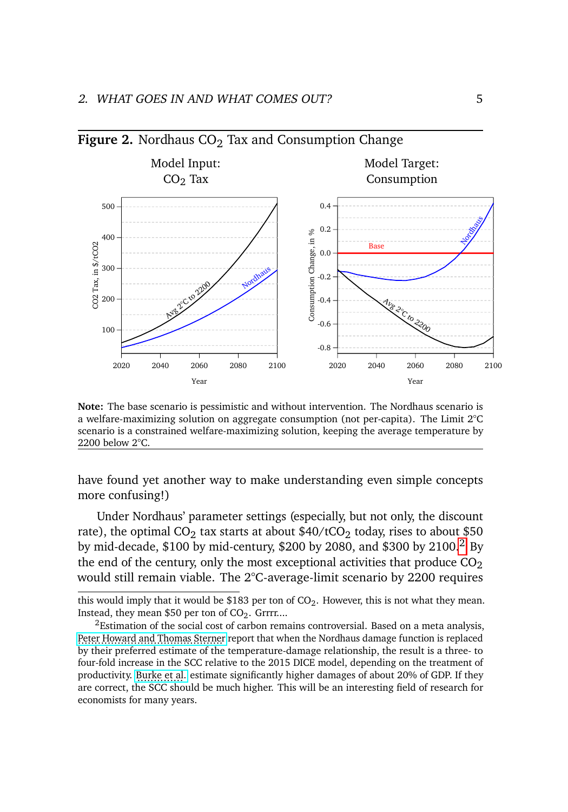

**Note:** The base scenario is pessimistic and without intervention. The Nordhaus scenario is a welfare-maximizing solution on aggregate consumption (not per-capita). The Limit 2°C scenario is a constrained welfare-maximizing solution, keeping the average temperature by 2200 below 2°C.

have found yet another way to make understanding even simple concepts more confusing!)

Under Nordhaus' parameter settings (especially, but not only, the discount rate), the optimal  $CO<sub>2</sub>$  tax starts at about \$40/tCO<sub>2</sub> today, rises to about \$50 by mid-decade, \$100 by mid-century, \$200 by 2080, and \$300 by 2100.[2](#page-25-0) By the end of the century, only the most exceptional activities that produce  $CO<sub>2</sub>$ would still remain viable. The 2°C-average-limit scenario by 2200 requires

this would imply that it would be \$183 per ton of CO<sub>2</sub>. However, this is not what they mean. Instead, they mean \$50 per ton of  $CO<sub>2</sub>$ . Grrrr....

 ${}^{2}$ Estimation of the social cost of carbon remains controversial. Based on a meta analysis, [Peter Howard and Thomas Sterner](https://link.springer.com/content/pdf/10.1007/s10640-017-0166-z.pdf) report that when the Nordhaus damage function is replaced by their preferred estimate of the temperature-damage relationship, the result is a three- to four-fold increase in the SCC relative to the 2015 DICE model, depending on the treatment of productivity. [Burke et al.](https://www.nature.com/articles/nature15725) estimate significantly higher damages of about 20% of GDP. If they are correct, the SCC should be much higher. This will be an interesting field of research for economists for many years.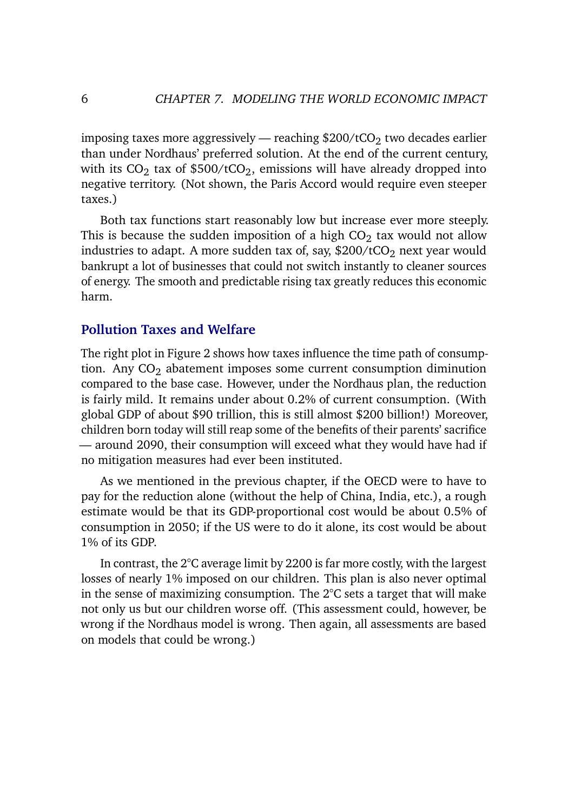imposing taxes more aggressively — reaching  $$200/tCO<sub>2</sub>$  two decades earlier than under Nordhaus' preferred solution. At the end of the current century, with its  $CO<sub>2</sub>$  tax of \$500/tCO<sub>2</sub>, emissions will have already dropped into negative territory. (Not shown, the Paris Accord would require even steeper taxes.)

Both tax functions start reasonably low but increase ever more steeply. This is because the sudden imposition of a high  $CO<sub>2</sub>$  tax would not allow industries to adapt. A more sudden tax of, say,  $$200/tCO<sub>2</sub>$  next year would bankrupt a lot of businesses that could not switch instantly to cleaner sources of energy. The smooth and predictable rising tax greatly reduces this economic harm.

#### **Pollution Taxes and Welfare**

The right plot in Figure 2 shows how taxes influence the time path of consumption. Any  $CO<sub>2</sub>$  abatement imposes some current consumption diminution compared to the base case. However, under the Nordhaus plan, the reduction is fairly mild. It remains under about 0.2% of current consumption. (With global GDP of about \$90 trillion, this is still almost \$200 billion!) Moreover, children born today will still reap some of the benefits of their parents' sacrifice — around 2090, their consumption will exceed what they would have had if no mitigation measures had ever been instituted.

As we mentioned in the previous chapter, if the OECD were to have to pay for the reduction alone (without the help of China, India, etc.), a rough estimate would be that its GDP-proportional cost would be about 0.5% of consumption in 2050; if the US were to do it alone, its cost would be about 1% of its GDP.

In contrast, the 2°C average limit by 2200 is far more costly, with the largest losses of nearly 1% imposed on our children. This plan is also never optimal in the sense of maximizing consumption. The  $2^{\circ}$ C sets a target that will make not only us but our children worse off. (This assessment could, however, be wrong if the Nordhaus model is wrong. Then again, all assessments are based on models that could be wrong.)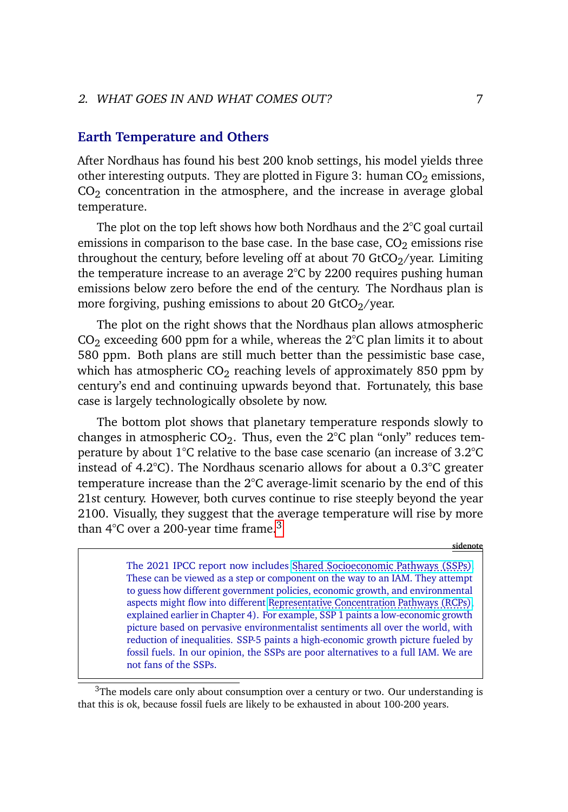#### 2. WHAT GOES IN AND WHAT COMES OUT?  $7$

#### **Earth Temperature and Others**

After Nordhaus has found his best 200 knob settings, his model yields three other interesting outputs. They are plotted in Figure 3: human  $CO<sub>2</sub>$  emissions,  $CO<sub>2</sub>$  concentration in the atmosphere, and the increase in average global temperature.

The plot on the top left shows how both Nordhaus and the 2°C goal curtail emissions in comparison to the base case. In the base case,  $CO<sub>2</sub>$  emissions rise throughout the century, before leveling off at about 70 GtCO $_2$ /year. Limiting the temperature increase to an average 2°C by 2200 requires pushing human emissions below zero before the end of the century. The Nordhaus plan is more forgiving, pushing emissions to about 20  $GtCO<sub>2</sub>/year$ .

The plot on the right shows that the Nordhaus plan allows atmospheric  $CO<sub>2</sub>$  exceeding 600 ppm for a while, whereas the  $2^{\circ}C$  plan limits it to about 580 ppm. Both plans are still much better than the pessimistic base case, which has atmospheric  $CO<sub>2</sub>$  reaching levels of approximately 850 ppm by century's end and continuing upwards beyond that. Fortunately, this base case is largely technologically obsolete by now.

The bottom plot shows that planetary temperature responds slowly to changes in atmospheric  $CO<sub>2</sub>$ . Thus, even the  $2^{\circ}C$  plan "only" reduces temperature by about 1°C relative to the base case scenario (an increase of 3.2°C instead of 4.2°C). The Nordhaus scenario allows for about a 0.3°C greater temperature increase than the 2°C average-limit scenario by the end of this 21st century. However, both curves continue to rise steeply beyond the year 2100. Visually, they suggest that the average temperature will rise by more than  $4^{\circ}$ C over a 200-year time frame.<sup>[3](#page-25-0)</sup>

#### **sidenote**

The 2021 IPCC report now includes [Shared Socioeconomic Pathways \(SSPs\).](https://en.wikipedia.org/wiki/Shared_Socioeconomic_Pathways) These can be viewed as a step or component on the way to an IAM. They attempt to guess how different government policies, economic growth, and environmental aspects might flow into different [Representative Concentration Pathways \(RCPs\),](https://en.wikipedia.org/wiki/Representative_Concentration_Pathway) explained earlier in Chapter 4). For example, SSP 1 paints a low-economic growth picture based on pervasive environmentalist sentiments all over the world, with reduction of inequalities. SSP-5 paints a high-economic growth picture fueled by fossil fuels. In our opinion, the SSPs are poor alternatives to a full IAM. We are not fans of the SSPs.

 $3$ The models care only about consumption over a century or two. Our understanding is that this is ok, because fossil fuels are likely to be exhausted in about 100-200 years.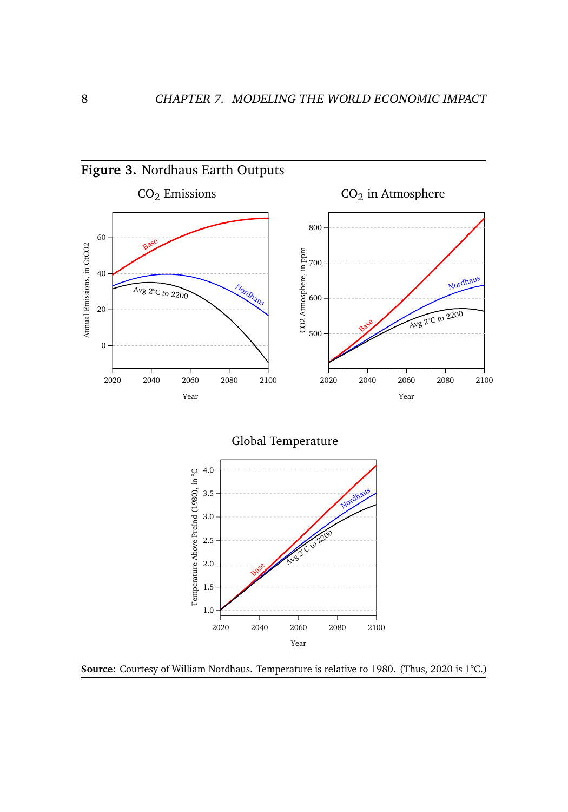

**Source:** Courtesy of William Nordhaus. Temperature is relative to 1980. (Thus, 2020 is 1°C.)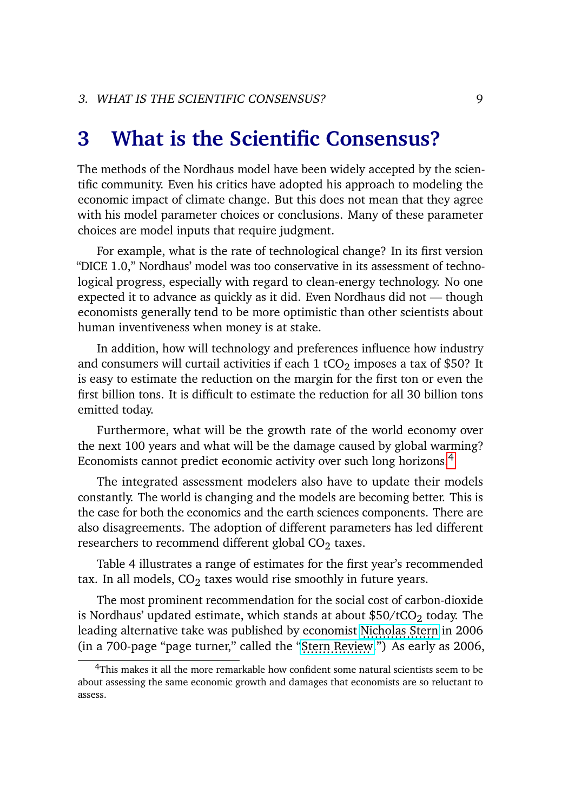### **3 What is the Scientific Consensus?**

The methods of the Nordhaus model have been widely accepted by the scientific community. Even his critics have adopted his approach to modeling the economic impact of climate change. But this does not mean that they agree with his model parameter choices or conclusions. Many of these parameter choices are model inputs that require judgment.

For example, what is the rate of technological change? In its first version "DICE 1.0," Nordhaus' model was too conservative in its assessment of technological progress, especially with regard to clean-energy technology. No one expected it to advance as quickly as it did. Even Nordhaus did not — though economists generally tend to be more optimistic than other scientists about human inventiveness when money is at stake.

In addition, how will technology and preferences influence how industry and consumers will curtail activities if each  $1 \text{ tCO}_2$  imposes a tax of \$50? It is easy to estimate the reduction on the margin for the first ton or even the first billion tons. It is difficult to estimate the reduction for all 30 billion tons emitted today.

Furthermore, what will be the growth rate of the world economy over the next 100 years and what will be the damage caused by global warming? Economists cannot predict economic activity over such long horizons.<sup>[4](#page-25-0)</sup>

The integrated assessment modelers also have to update their models constantly. The world is changing and the models are becoming better. This is the case for both the economics and the earth sciences components. There are also disagreements. The adoption of different parameters has led different researchers to recommend different global  $CO<sub>2</sub>$  taxes.

Table 4 illustrates a range of estimates for the first year's recommended tax. In all models,  $CO<sub>2</sub>$  taxes would rise smoothly in future years.

The most prominent recommendation for the social cost of carbon-dioxide is Nordhaus' updated estimate, which stands at about  $$50/tCO<sub>2</sub>$  today. The leading alternative take was published by economist [Nicholas Stern](https://en.wikipedia.org/wiki/Nicholas_Stern,_Baron_Stern_of_Brentford) in 2006 (in a 700-page "page turner," called the ["Stern Review.](https://www.climatecentral.org/news/climate-economists-stern-review-20827)") As early as 2006,

<sup>&</sup>lt;sup>4</sup>This makes it all the more remarkable how confident some natural scientists seem to be about assessing the same economic growth and damages that economists are so reluctant to assess.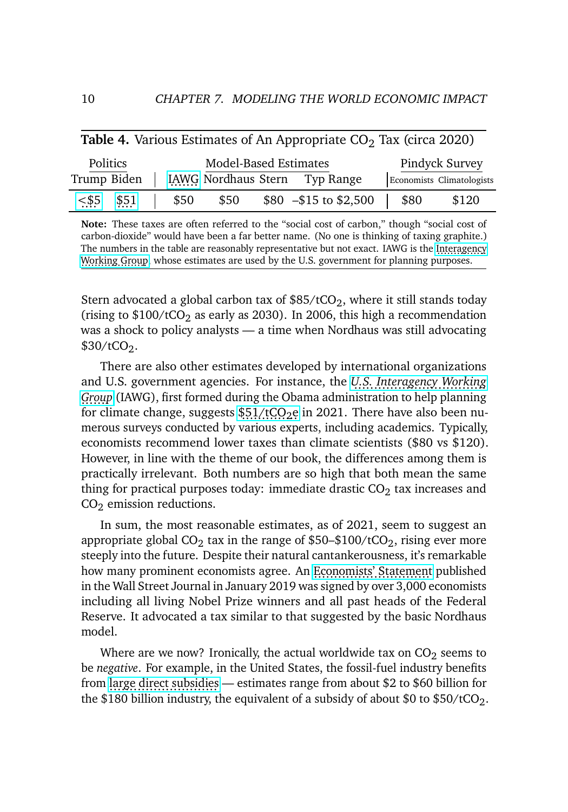| Politics    |      | <b>Model-Based Estimates</b> |                                            |  |  |                                       | Pindyck Survey |  |                           |
|-------------|------|------------------------------|--------------------------------------------|--|--|---------------------------------------|----------------|--|---------------------------|
| Trump Biden |      |                              | <sup>1</sup> IAWG Nordhaus Stern Typ Range |  |  |                                       |                |  | Economists Climatologists |
| $\leq$ \$5  | \$51 | \$50                         | \$50                                       |  |  | $$80 - $15 \text{ to } $2,500$   \$80 |                |  | \$120                     |

| Table 4. Various Estimates of An Appropriate $CO2$ Tax (circa 2020) |  |  |
|---------------------------------------------------------------------|--|--|
|---------------------------------------------------------------------|--|--|

**Note:** These taxes are often referred to the "social cost of carbon," though "social cost of carbon-dioxide" would have been a far better name. (No one is thinking of taxing graphite.) The numbers in the table are reasonably representative but not exact. IAWG is the [Interagency](https://iawg.gov/) [Working Group,](https://iawg.gov/) whose estimates are used by the U.S. government for planning purposes.

Stern advocated a global carbon tax of  $$85/tCO<sub>2</sub>$ , where it still stands today (rising to  $$100/tCO<sub>2</sub>$  as early as 2030). In 2006, this high a recommendation was a shock to policy analysts — a time when Nordhaus was still advocating  $$30/tCO<sub>2</sub>$ .

There are also other estimates developed by international organizations and U.S. government agencies. For instance, the [U.S. Interagency Working](https://iawg.gov/) *[Group](https://iawg.gov/)* (IAWG), first formed during the Obama administration to help planning for climate change, suggests  $$51/tCO<sub>2</sub>e$  in 2021. There have also been numerous surveys conducted by various experts, including academics. Typically, economists recommend lower taxes than climate scientists (\$80 vs \$120). However, in line with the theme of our book, the differences among them is practically irrelevant. Both numbers are so high that both mean the same thing for practical purposes today: immediate drastic  $CO<sub>2</sub>$  tax increases and  $CO<sub>2</sub>$  emission reductions.

In sum, the most reasonable estimates, as of 2021, seem to suggest an appropriate global  $CO<sub>2</sub>$  tax in the range of \$50–\$100/tCO<sub>2</sub>, rising ever more steeply into the future. Despite their natural cantankerousness, it's remarkable how many prominent economists agree. An [Economists' Statement](https://www.econstatement.org/) published in the Wall Street Journal in January 2019 was signed by over 3,000 economists including all living Nobel Prize winners and all past heads of the Federal Reserve. It advocated a tax similar to that suggested by the basic Nordhaus model.

Where are we now? Ironically, the actual worldwide tax on  $CO<sub>2</sub>$  seems to be *negative*. For example, in the United States, the fossil-fuel industry benefits from [large direct subsidies](https://arstechnica.com/tech-policy/2021/03/biden-plan-eliminates-billions-in-fossil-fuel-subsidies/) — estimates range from about \$2 to \$60 billion for the \$180 billion industry, the equivalent of a subsidy of about \$0 to  $$50/tCO<sub>2</sub>$ .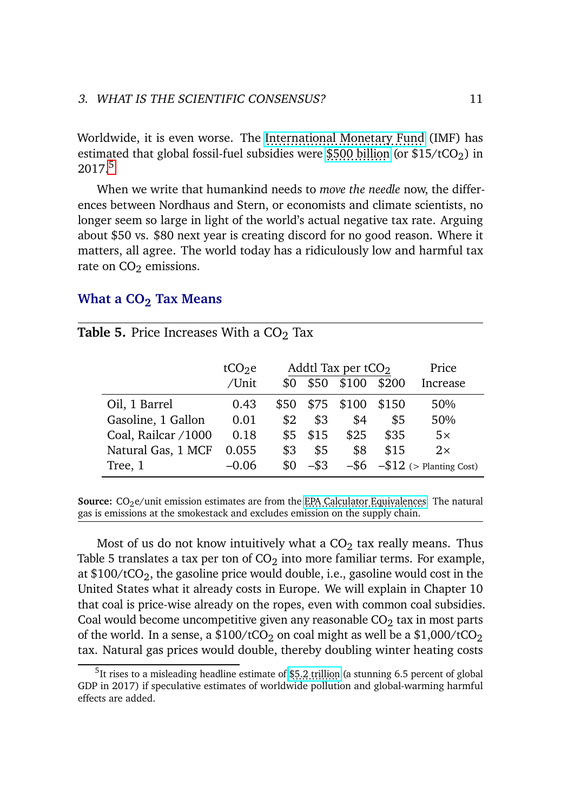Worldwide, it is even worse. The [International Monetary Fund](https://en.wikipedia.org/wiki/International_Monetary_Fund) (IMF) has estimated that global fossil-fuel subsidies were [\\$500 billion](https://www.imf.org/en/Topics/climate-change/energy-subsidies) (or \$15/tCO<sub>2</sub>) in 2017.[5](#page-25-0)

When we write that humankind needs to *move the needle* now, the differences between Nordhaus and Stern, or economists and climate scientists, no longer seem so large in light of the world's actual negative tax rate. Arguing about \$50 vs. \$80 next year is creating discord for no good reason. Where it matters, all agree. The world today has a ridiculously low and harmful tax rate on  $CO<sub>2</sub>$  emissions.

#### **What a CO2 Tax Means**

|                     | tCO <sub>2</sub> e<br>/Unit |       | \$50    | Addtl Tax per $tCO2$<br>\$100 | \$200 | Price<br>Increase         |
|---------------------|-----------------------------|-------|---------|-------------------------------|-------|---------------------------|
| Oil, 1 Barrel       | 0.43                        | \$50. |         | \$75 \$100                    | \$150 | 50%                       |
| Gasoline, 1 Gallon  | 0.01                        | \$2   | \$3     | \$4                           | \$5   | 50%                       |
| Coal, Railcar /1000 | 0.18                        | \$5   | \$15    | \$25                          | \$35  | $5\times$                 |
| Natural Gas, 1 MCF  | 0.055                       | \$3   | \$5     | \$8                           | \$15  | 2x                        |
| Tree, 1             | $-0.06$                     | \$0   | $-$ \$3 | -\$6                          |       | $-\$12$ (> Planting Cost) |

### Table 5. Price Increases With a CO<sub>2</sub> Tax

**Source:** CO<sub>2</sub>e/unit emission estimates are from the [EPA Calculator Equivalences.](https://www.epa.gov/energy/greenhouse-gases-equivalencies-calculator-calculations-and-references) The natural gas is emissions at the smokestack and excludes emission on the supply chain.

Most of us do not know intuitively what a  $CO<sub>2</sub>$  tax really means. Thus Table 5 translates a tax per ton of  $CO<sub>2</sub>$  into more familiar terms. For example, at  $$100/tCO<sub>2</sub>$ , the gasoline price would double, i.e., gasoline would cost in the United States what it already costs in Europe. We will explain in Chapter 10 that coal is price-wise already on the ropes, even with common coal subsidies. Coal would become uncompetitive given any reasonable  $CO<sub>2</sub>$  tax in most parts of the world. In a sense, a  $$100/tCO<sub>2</sub>$  on coal might as well be a  $$1,000/tCO<sub>2</sub>$ tax. Natural gas prices would double, thereby doubling winter heating costs

 ${}^{5}$ It rises to a misleading headline estimate of [\\$5.2 trillion](https://www.vox.com/2019/5/17/18624740/fossil-fuel-subsidies-climate-imf) (a stunning 6.5 percent of global GDP in 2017) if speculative estimates of worldwide pollution and global-warming harmful effects are added.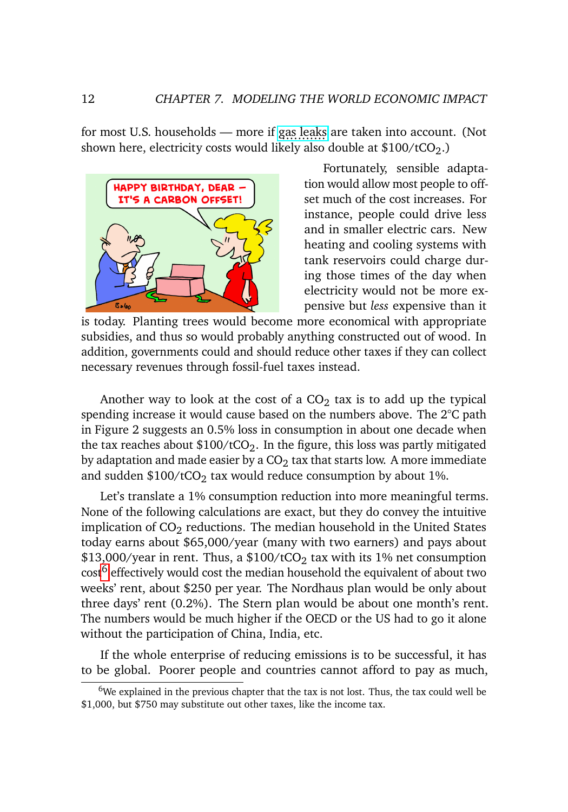for most U.S. households — more if [gas leaks](https://www.bloomberg.com/features/2021-methane-hunters-climate-change/) are taken into account. (Not shown here, electricity costs would likely also double at  $$100/tCO<sub>2</sub>$ .)



Fortunately, sensible adaptation would allow most people to offset much of the cost increases. For instance, people could drive less and in smaller electric cars. New heating and cooling systems with tank reservoirs could charge during those times of the day when electricity would not be more expensive but *less* expensive than it

is today. Planting trees would become more economical with appropriate subsidies, and thus so would probably anything constructed out of wood. In addition, governments could and should reduce other taxes if they can collect necessary revenues through fossil-fuel taxes instead.

Another way to look at the cost of a  $CO<sub>2</sub>$  tax is to add up the typical spending increase it would cause based on the numbers above. The 2°C path in Figure 2 suggests an 0.5% loss in consumption in about one decade when the tax reaches about  $$100/tCO<sub>2</sub>$ . In the figure, this loss was partly mitigated by adaptation and made easier by a  $CO<sub>2</sub>$  tax that starts low. A more immediate and sudden  $$100/tCO<sub>2</sub>$  tax would reduce consumption by about 1%.

Let's translate a 1% consumption reduction into more meaningful terms. None of the following calculations are exact, but they do convey the intuitive implication of  $CO<sub>2</sub>$  reductions. The median household in the United States today earns about \$65,000/year (many with two earners) and pays about \$13,000/year in rent. Thus, a  $$100/tCO<sub>2</sub>$  tax with its 1% net consumption cost<sup>[6](#page-25-0)</sup> effectively would cost the median household the equivalent of about two weeks' rent, about \$250 per year. The Nordhaus plan would be only about three days' rent (0.2%). The Stern plan would be about one month's rent. The numbers would be much higher if the OECD or the US had to go it alone without the participation of China, India, etc.

If the whole enterprise of reducing emissions is to be successful, it has to be global. Poorer people and countries cannot afford to pay as much,

 $6$ We explained in the previous chapter that the tax is not lost. Thus, the tax could well be \$1,000, but \$750 may substitute out other taxes, like the income tax.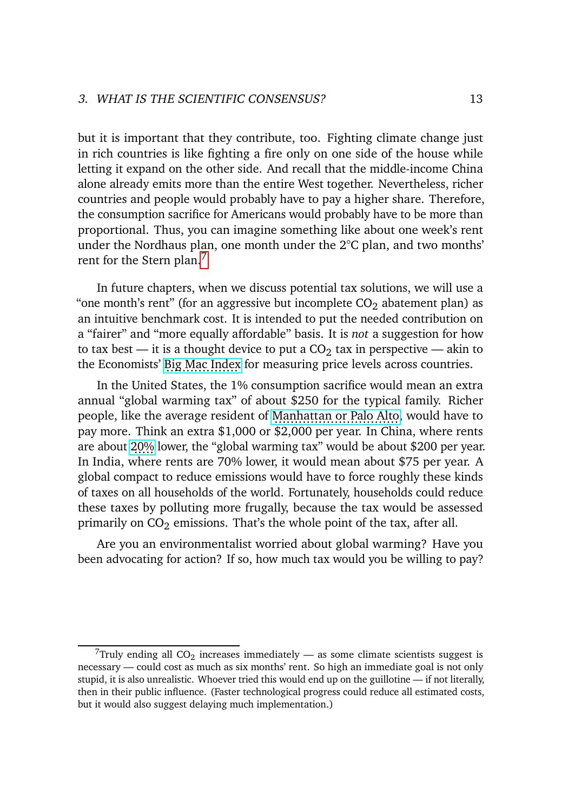but it is important that they contribute, too. Fighting climate change just in rich countries is like fighting a fire only on one side of the house while letting it expand on the other side. And recall that the middle-income China alone already emits more than the entire West together. Nevertheless, richer countries and people would probably have to pay a higher share. Therefore, the consumption sacrifice for Americans would probably have to be more than proportional. Thus, you can imagine something like about one week's rent under the Nordhaus plan, one month under the  $2^{\circ}$ C plan, and two months' rent for the Stern plan.<sup>[7](#page-25-0)</sup>

In future chapters, when we discuss potential tax solutions, we will use a "one month's rent" (for an aggressive but incomplete  $CO<sub>2</sub>$  abatement plan) as an intuitive benchmark cost. It is intended to put the needed contribution on a "fairer" and "more equally affordable" basis. It is *not* a suggestion for how to tax best — it is a thought device to put a  $CO<sub>2</sub>$  tax in perspective — akin to the Economists' B<u>ig Mac Index</u> for measuring price levels across countries.

In the United States, the 1% consumption sacrifice would mean an extra annual "global warming tax" of about \$250 for the typical family. Richer people, like the average resident of [Manhattan or Palo Alto,](https://www.bestplaces.net/cost-of-living/manhattan-ny/palo-alto-ca/100000) would have to pay more. Think an extra \$1,000 or \$2,000 per year. In China, where rents are about [20%](https://www.nationmaster.com/country-info/compare/China/United-States/Cost-of-living) lower, the "global warming tax" would be about \$200 per year. In India, where rents are 70% lower, it would mean about \$75 per year. A global compact to reduce emissions would have to force roughly these kinds of taxes on all households of the world. Fortunately, households could reduce these taxes by polluting more frugally, because the tax would be assessed primarily on  $CO<sub>2</sub>$  emissions. That's the whole point of the tax, after all.

Are you an environmentalist worried about global warming? Have you been advocating for action? If so, how much tax would you be willing to pay?

 $7$ Truly ending all CO<sub>2</sub> increases immediately — as some climate scientists suggest is necessary — could cost as much as six months' rent. So high an immediate goal is not only stupid, it is also unrealistic. Whoever tried this would end up on the guillotine — if not literally, then in their public influence. (Faster technological progress could reduce all estimated costs, but it would also suggest delaying much implementation.)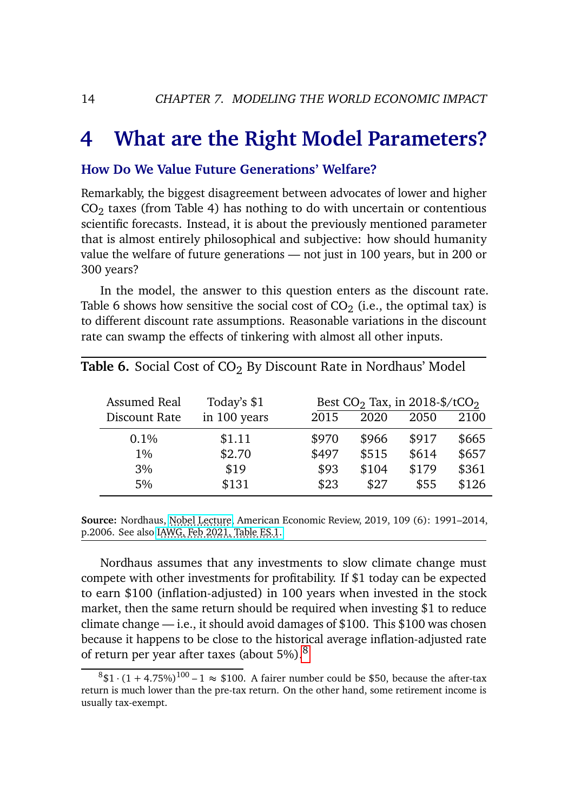### **4 What are the Right Model Parameters?**

#### **How Do We Value Future Generations' Welfare?**

Remarkably, the biggest disagreement between advocates of lower and higher  $CO<sub>2</sub>$  taxes (from Table 4) has nothing to do with uncertain or contentious scientific forecasts. Instead, it is about the previously mentioned parameter that is almost entirely philosophical and subjective: how should humanity value the welfare of future generations — not just in 100 years, but in 200 or 300 years?

In the model, the answer to this question enters as the discount rate. Table 6 shows how sensitive the social cost of  $CO<sub>2</sub>$  (i.e., the optimal tax) is to different discount rate assumptions. Reasonable variations in the discount rate can swamp the effects of tinkering with almost all other inputs.

| <b>Assumed Real</b> | Today's \$1  | Best $CO2$ Tax, in 2018-\$/tCO <sub>2</sub> |       |       |       |  |  |
|---------------------|--------------|---------------------------------------------|-------|-------|-------|--|--|
| Discount Rate       | in 100 years | 2015                                        | 2020  | 2050  | 2100  |  |  |
| $0.1\%$             | \$1.11       | \$970                                       | \$966 | \$917 | \$665 |  |  |
| $1\%$               | \$2.70       | \$497                                       | \$515 | \$614 | \$657 |  |  |
| 3%                  | \$19         | \$93                                        | \$104 | \$179 | \$361 |  |  |
| 5%                  | \$131        | \$23                                        | \$27  | \$55  | \$126 |  |  |

#### Table 6. Social Cost of CO<sub>2</sub> By Discount Rate in Nordhaus' Model

Source: Nordhaus, [Nobel Lecture,](https://www.aeaweb.org/articles?id=10.1257/aer.109.6.1991) American Economic Review, 2019, 109 (6): 1991–2014, p.2006. See also [IAWG, Feb 2021, Table ES.1.](https://www.whitehouse.gov/wp-content/uploads/2021/02/TechnicalSupportDocument_SocialCostofCarbonMethaneNitrousOxide.pdf)

Nordhaus assumes that any investments to slow climate change must compete with other investments for profitability. If \$1 today can be expected to earn \$100 (inflation-adjusted) in 100 years when invested in the stock market, then the same return should be required when investing \$1 to reduce climate change — i.e., it should avoid damages of \$100. This \$100 was chosen because it happens to be close to the historical average inflation-adjusted rate of return per year after taxes (about 5%).<sup>[8](#page-25-0)</sup>

 $8$ \$1 · (1 + 4.75%)<sup>100</sup> – 1  $\approx$  \$100. A fairer number could be \$50, because the after-tax return is much lower than the pre-tax return. On the other hand, some retirement income is usually tax-exempt.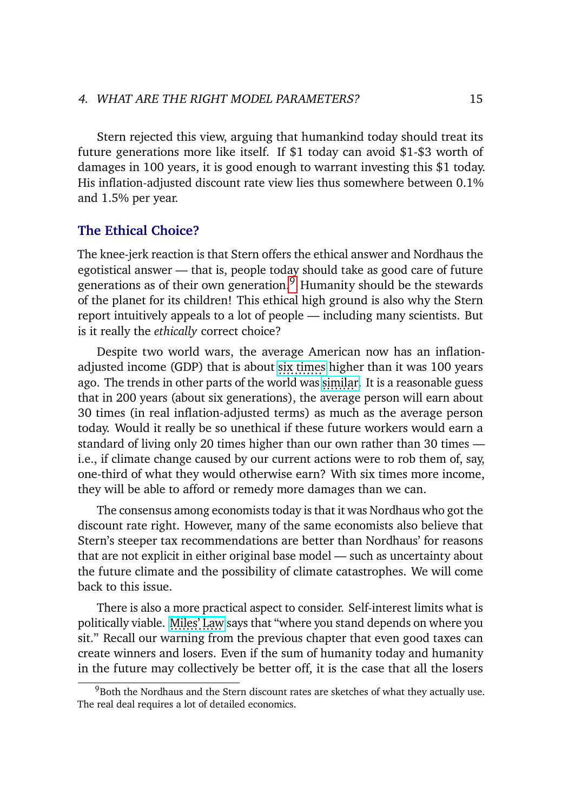#### 4. WHAT ARE THE RIGHT MODEL PARAMETERS?  $15$

Stern rejected this view, arguing that humankind today should treat its future generations more like itself. If \$1 today can avoid \$1-\$3 worth of damages in 100 years, it is good enough to warrant investing this \$1 today. His inflation-adjusted discount rate view lies thus somewhere between 0.1% and 1.5% per year.

#### **The Ethical Choice?**

The knee-jerk reaction is that Stern offers the ethical answer and Nordhaus the egotistical answer — that is, people today should take as good care of future generations as of their own generation.<sup>[9](#page-25-0)</sup> Humanity should be the stewards of the planet for its children! This ethical high ground is also why the Stern report intuitively appeals to a lot of people — including many scientists. But is it really the *ethically* correct choice?

Despite two world wars, the average American now has an inflationadjusted income (GDP) that is about [six times](https://ourworldindata.org/economic-growth) higher than it was 100 years ago. The trends in other parts of the world was [similar.](https://ourworldindata.org/grapher/maddison-data-gdp-per-capita-in-2011us-single-benchmark) It is a reasonable guess that in 200 years (about six generations), the average person will earn about 30 times (in real inflation-adjusted terms) as much as the average person today. Would it really be so unethical if these future workers would earn a standard of living only 20 times higher than our own rather than 30 times i.e., if climate change caused by our current actions were to rob them of, say, one-third of what they would otherwise earn? With six times more income, they will be able to afford or remedy more damages than we can.

The consensus among economists today is that it was Nordhaus who got the discount rate right. However, many of the same economists also believe that Stern's steeper tax recommendations are better than Nordhaus' for reasons that are not explicit in either original base model — such as uncertainty about the future climate and the possibility of climate catastrophes. We will come back to this issue.

There is also a more practical aspect to consider. Self-interest limits what is politically viable. [Miles' Law](https://en.wikipedia.org/wiki/Rufus_Miles) says that "where you stand depends on where you sit." Recall our warning from the previous chapter that even good taxes can create winners and losers. Even if the sum of humanity today and humanity in the future may collectively be better off, it is the case that all the losers

 $9$ Both the Nordhaus and the Stern discount rates are sketches of what they actually use. The real deal requires a lot of detailed economics.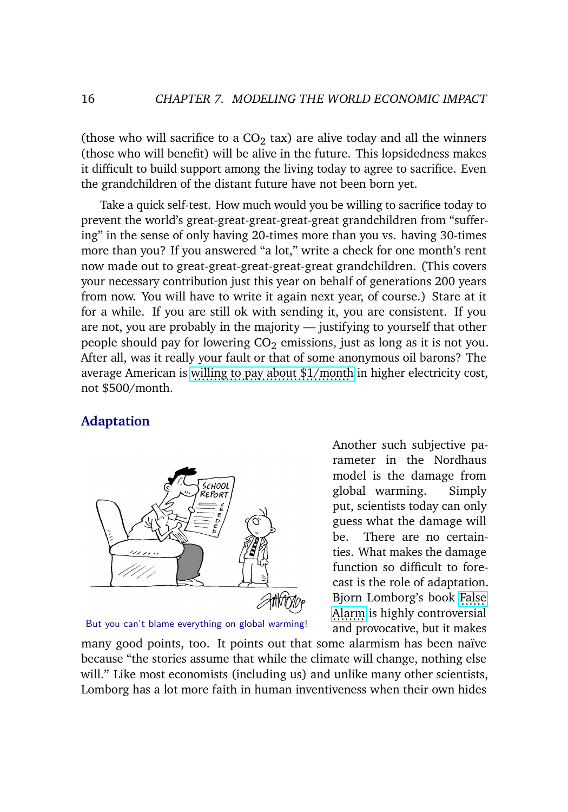(those who will sacrifice to a  $CO<sub>2</sub>$  tax) are alive today and all the winners (those who will benefit) will be alive in the future. This lopsidedness makes it difficult to build support among the living today to agree to sacrifice. Even the grandchildren of the distant future have not been born yet.

Take a quick self-test. How much would you be willing to sacrifice today to prevent the world's great-great-great-great-great grandchildren from "suffering" in the sense of only having 20-times more than you vs. having 30-times more than you? If you answered "a lot," write a check for one month's rent now made out to great-great-great-great-great grandchildren. (This covers your necessary contribution just this year on behalf of generations 200 years from now. You will have to write it again next year, of course.) Stare at it for a while. If you are still ok with sending it, you are consistent. If you are not, you are probably in the majority — justifying to yourself that other people should pay for lowering  $CO<sub>2</sub>$  emissions, just as long as it is not you. After all, was it really your fault or that of some anonymous oil barons? The average American is [willing to pay about \\$1/month](https://www.cato.org/blog/68-americans-wouldnt-pay-10-month-higher-electric-bills-combat-climate-change) in higher electricity cost, not \$500/month.

#### **Adaptation**



But you can't blame everything on global warming!

global warming. Simply put, scientists today can only guess what the damage will be. There are no certainties. What makes the damage function so difficult to forecast is the role of adaptation. Bjorn Lomborg's book [False](https://www.amazon.com/False-Alarm-Climate-Change-Trillions/dp/1541647467) [Alarm](https://www.amazon.com/False-Alarm-Climate-Change-Trillions/dp/1541647467) is highly controversial and provocative, but it makes

Another such subjective parameter in the Nordhaus model is the damage from

many good points, too. It points out that some alarmism has been naïve because "the stories assume that while the climate will change, nothing else will." Like most economists (including us) and unlike many other scientists, Lomborg has a lot more faith in human inventiveness when their own hides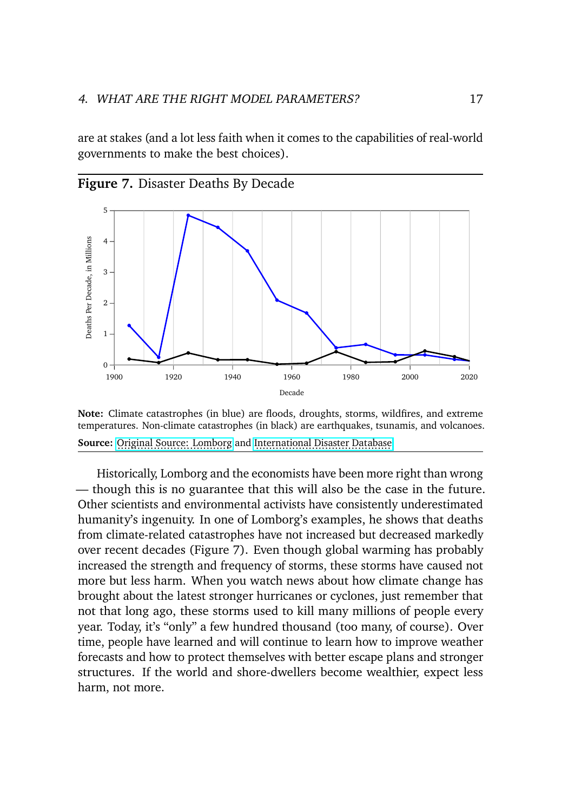are at stakes (and a lot less faith when it comes to the capabilities of real-world governments to make the best choices).







Historically, Lomborg and the economists have been more right than wrong — though this is no guarantee that this will also be the case in the future. Other scientists and environmental activists have consistently underestimated humanity's ingenuity. In one of Lomborg's examples, he shows that deaths from climate-related catastrophes have not increased but decreased markedly over recent decades (Figure 7). Even though global warming has probably increased the strength and frequency of storms, these storms have caused not more but less harm. When you watch news about how climate change has brought about the latest stronger hurricanes or cyclones, just remember that not that long ago, these storms used to kill many millions of people every year. Today, it's "only" a few hundred thousand (too many, of course). Over time, people have learned and will continue to learn how to improve weather forecasts and how to protect themselves with better escape plans and stronger structures. If the world and shore-dwellers become wealthier, expect less harm, not more.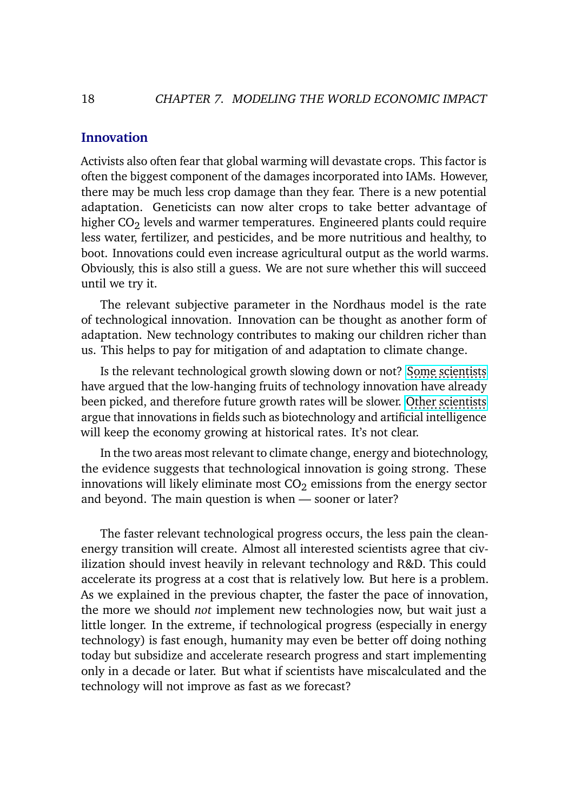#### **Innovation**

Activists also often fear that global warming will devastate crops. This factor is often the biggest component of the damages incorporated into IAMs. However, there may be much less crop damage than they fear. There is a new potential adaptation. Geneticists can now alter crops to take better advantage of higher  $CO<sub>2</sub>$  levels and warmer temperatures. Engineered plants could require less water, fertilizer, and pesticides, and be more nutritious and healthy, to boot. Innovations could even increase agricultural output as the world warms. Obviously, this is also still a guess. We are not sure whether this will succeed until we try it.

The relevant subjective parameter in the Nordhaus model is the rate of technological innovation. Innovation can be thought as another form of adaptation. New technology contributes to making our children richer than us. This helps to pay for mitigation of and adaptation to climate change.

Is the relevant technological growth slowing down or not? [Some scientists](https://press.princeton.edu/books/paperback/9780691175805/the-rise-and-fall-of-american-growth) have argued that the low-hanging fruits of technology innovation have already been picked, and therefore future growth rates will be slower. [Other scientists](https://wwnorton.com/books/the-second-machine-age/) argue that innovations in fields such as biotechnology and artificial intelligence will keep the economy growing at historical rates. It's not clear.

In the two areas most relevant to climate change, energy and biotechnology, the evidence suggests that technological innovation is going strong. These innovations will likely eliminate most  $CO<sub>2</sub>$  emissions from the energy sector and beyond. The main question is when — sooner or later?

The faster relevant technological progress occurs, the less pain the cleanenergy transition will create. Almost all interested scientists agree that civilization should invest heavily in relevant technology and R&D. This could accelerate its progress at a cost that is relatively low. But here is a problem. As we explained in the previous chapter, the faster the pace of innovation, the more we should *not* implement new technologies now, but wait just a little longer. In the extreme, if technological progress (especially in energy technology) is fast enough, humanity may even be better off doing nothing today but subsidize and accelerate research progress and start implementing only in a decade or later. But what if scientists have miscalculated and the technology will not improve as fast as we forecast?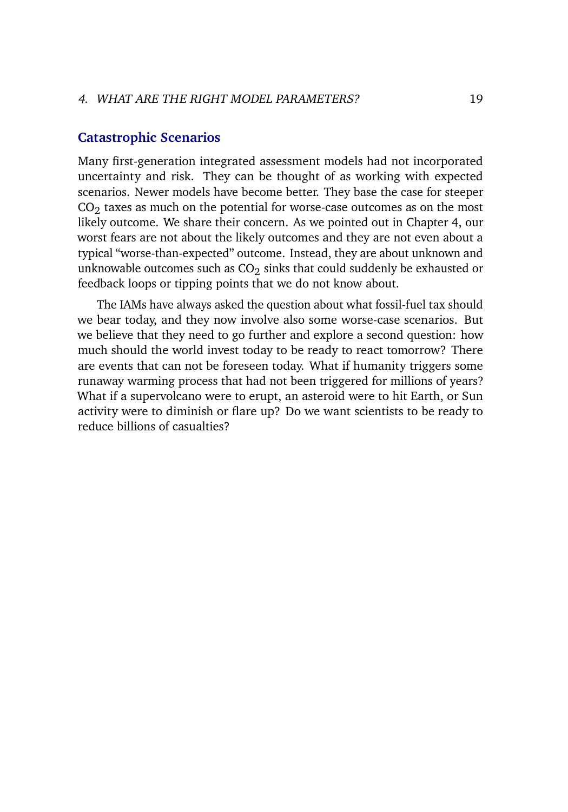#### **Catastrophic Scenarios**

Many first-generation integrated assessment models had not incorporated uncertainty and risk. They can be thought of as working with expected scenarios. Newer models have become better. They base the case for steeper  $CO<sub>2</sub>$  taxes as much on the potential for worse-case outcomes as on the most likely outcome. We share their concern. As we pointed out in Chapter 4, our worst fears are not about the likely outcomes and they are not even about a typical "worse-than-expected" outcome. Instead, they are about unknown and unknowable outcomes such as  $CO<sub>2</sub>$  sinks that could suddenly be exhausted or feedback loops or tipping points that we do not know about.

The IAMs have always asked the question about what fossil-fuel tax should we bear today, and they now involve also some worse-case scenarios. But we believe that they need to go further and explore a second question: how much should the world invest today to be ready to react tomorrow? There are events that can not be foreseen today. What if humanity triggers some runaway warming process that had not been triggered for millions of years? What if a supervolcano were to erupt, an asteroid were to hit Earth, or Sun activity were to diminish or flare up? Do we want scientists to be ready to reduce billions of casualties?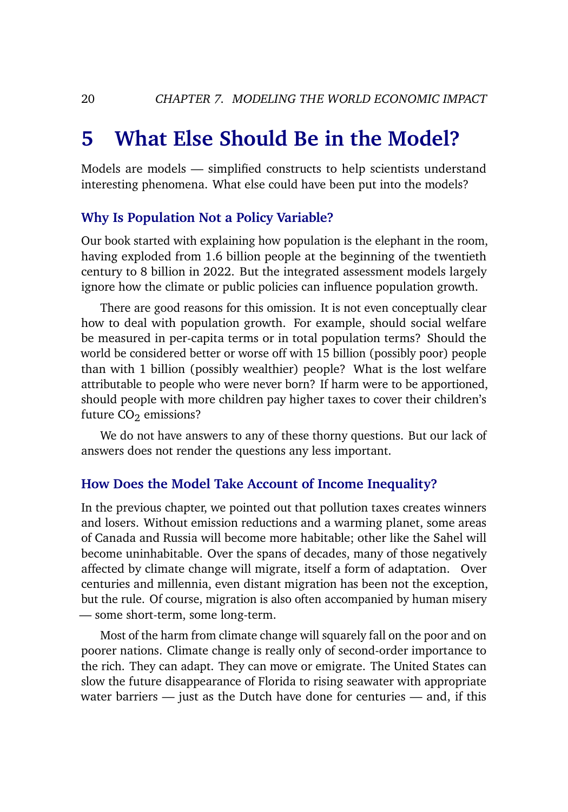### **5 What Else Should Be in the Model?**

Models are models — simplified constructs to help scientists understand interesting phenomena. What else could have been put into the models?

#### **Why Is Population Not a Policy Variable?**

Our book started with explaining how population is the elephant in the room, having exploded from 1.6 billion people at the beginning of the twentieth century to 8 billion in 2022. But the integrated assessment models largely ignore how the climate or public policies can influence population growth.

There are good reasons for this omission. It is not even conceptually clear how to deal with population growth. For example, should social welfare be measured in per-capita terms or in total population terms? Should the world be considered better or worse off with 15 billion (possibly poor) people than with 1 billion (possibly wealthier) people? What is the lost welfare attributable to people who were never born? If harm were to be apportioned, should people with more children pay higher taxes to cover their children's future  $CO<sub>2</sub>$  emissions?

We do not have answers to any of these thorny questions. But our lack of answers does not render the questions any less important.

#### **How Does the Model Take Account of Income Inequality?**

In the previous chapter, we pointed out that pollution taxes creates winners and losers. Without emission reductions and a warming planet, some areas of Canada and Russia will become more habitable; other like the Sahel will become uninhabitable. Over the spans of decades, many of those negatively affected by climate change will migrate, itself a form of adaptation. Over centuries and millennia, even distant migration has been not the exception, but the rule. Of course, migration is also often accompanied by human misery — some short-term, some long-term.

Most of the harm from climate change will squarely fall on the poor and on poorer nations. Climate change is really only of second-order importance to the rich. They can adapt. They can move or emigrate. The United States can slow the future disappearance of Florida to rising seawater with appropriate water barriers — just as the Dutch have done for centuries — and, if this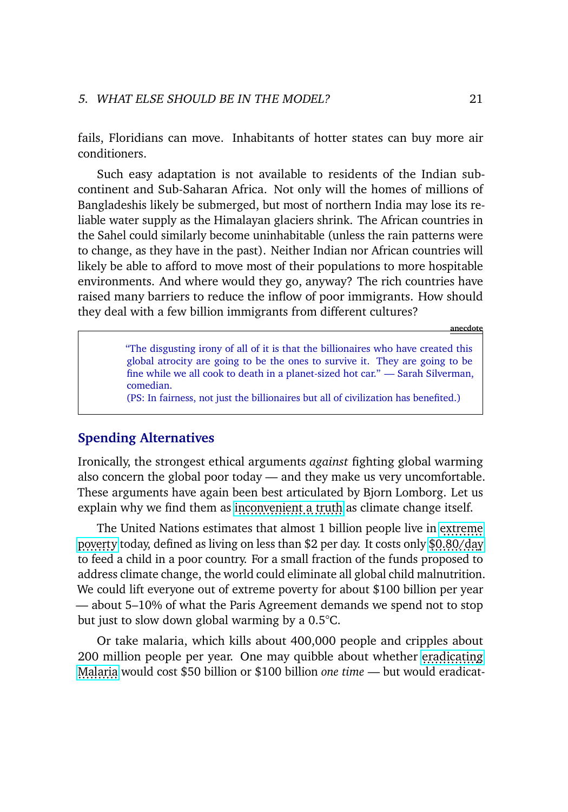fails, Floridians can move. Inhabitants of hotter states can buy more air conditioners.

Such easy adaptation is not available to residents of the Indian subcontinent and Sub-Saharan Africa. Not only will the homes of millions of Bangladeshis likely be submerged, but most of northern India may lose its reliable water supply as the Himalayan glaciers shrink. The African countries in the Sahel could similarly become uninhabitable (unless the rain patterns were to change, as they have in the past). Neither Indian nor African countries will likely be able to afford to move most of their populations to more hospitable environments. And where would they go, anyway? The rich countries have raised many barriers to reduce the inflow of poor immigrants. How should they deal with a few billion immigrants from different cultures?

**anecdote**

"The disgusting irony of all of it is that the billionaires who have created this global atrocity are going to be the ones to survive it. They are going to be fine while we all cook to death in a planet-sized hot car." — Sarah Silverman, comedian.

(PS: In fairness, not just the billionaires but all of civilization has benefited.)

#### **Spending Alternatives**

Ironically, the strongest ethical arguments *against* fighting global warming also concern the global poor today — and they make us very uncomfortable. These arguments have again been best articulated by Bjorn Lomborg. Let us explain why we find them as [inconvenient a truth](https://en.wikipedia.org/wiki/An_Inconvenient_Truth) as climate change itself.

The United Nations estimates that almost 1 billion people live in [extreme](https://www.un.org/millenniumgoals/poverty.shtml) [poverty](https://www.un.org/millenniumgoals/poverty.shtml) today, defined as living on less than \$2 per day. It costs only [\\$0.80/day](https://sharethemeal.org/en/faq.html) to feed a child in a poor country. For a small fraction of the funds proposed to address climate change, the world could eliminate all global child malnutrition. We could lift everyone out of extreme poverty for about \$100 billion per year — about 5–10% of what the Paris Agreement demands we spend not to stop but just to slow down global warming by a 0.5°C.

Or take malaria, which kills about 400,000 people and cripples about 200 million people per year. One may quibble about whether [eradicating](https://www.cfr.org/backgrounder/can-malaria-be-eradicated) [Malaria](https://www.cfr.org/backgrounder/can-malaria-be-eradicated) would cost \$50 billion or \$100 billion *one time* — but would eradicat-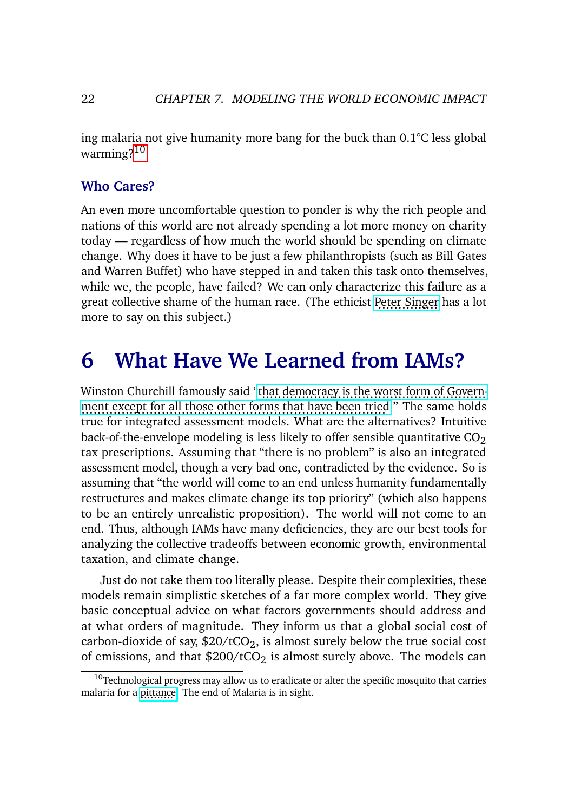ing malaria not give humanity more bang for the buck than 0.1°C less global warming?<sup>[10](#page-25-0)</sup>

#### **Who Cares?**

An even more uncomfortable question to ponder is why the rich people and nations of this world are not already spending a lot more money on charity today — regardless of how much the world should be spending on climate change. Why does it have to be just a few philanthropists (such as Bill Gates and Warren Buffet) who have stepped in and taken this task onto themselves, while we, the people, have failed? We can only characterize this failure as a great collective shame of the human race. (The ethicist [Peter Singer](https://petersinger.info/) has a lot more to say on this subject.)

### **6 What Have We Learned from IAMs?**

Winston Churchill famously said "[that democracy is the worst form of Govern](https://winstonchurchill.org/resources/quotes/the-worst-form-of-government/)[ment except for all those other forms that have been tried.](https://winstonchurchill.org/resources/quotes/the-worst-form-of-government/)" The same holds true for integrated assessment models. What are the alternatives? Intuitive back-of-the-envelope modeling is less likely to offer sensible quantitative  $CO<sub>2</sub>$ tax prescriptions. Assuming that "there is no problem" is also an integrated assessment model, though a very bad one, contradicted by the evidence. So is assuming that "the world will come to an end unless humanity fundamentally restructures and makes climate change its top priority" (which also happens to be an entirely unrealistic proposition). The world will not come to an end. Thus, although IAMs have many deficiencies, they are our best tools for analyzing the collective tradeoffs between economic growth, environmental taxation, and climate change.

Just do not take them too literally please. Despite their complexities, these models remain simplistic sketches of a far more complex world. They give basic conceptual advice on what factors governments should address and at what orders of magnitude. They inform us that a global social cost of carbon-dioxide of say,  $$20/tCO<sub>2</sub>$ , is almost surely below the true social cost of emissions, and that  $$200/tCO<sub>2</sub>$  is almost surely above. The models can

 $10$ Technological progress may allow us to eradicate or alter the specific mosquito that carries malaria for a [pittance.](https://www.nature.com/articles/d41586-019-02087-5) The end of Malaria is in sight.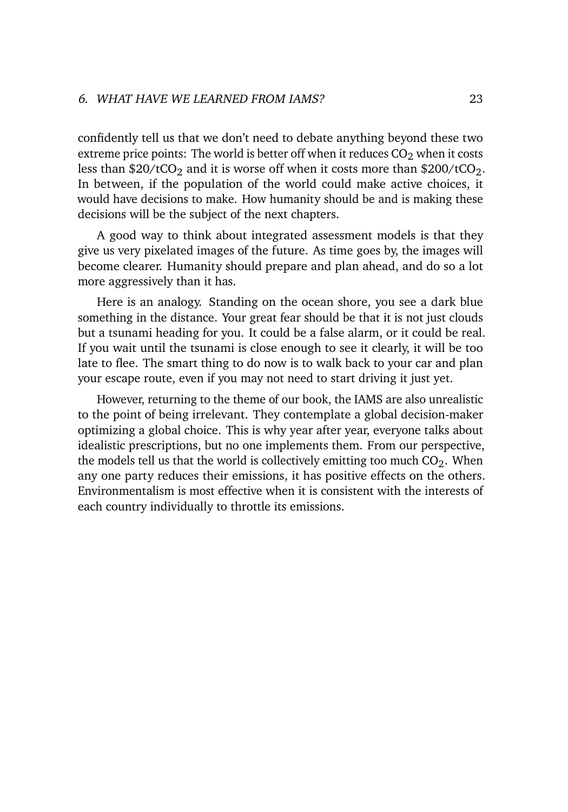confidently tell us that we don't need to debate anything beyond these two extreme price points: The world is better off when it reduces  $CO<sub>2</sub>$  when it costs less than  $$20/tCO<sub>2</sub>$  and it is worse off when it costs more than  $$200/tCO<sub>2</sub>$ . In between, if the population of the world could make active choices, it would have decisions to make. How humanity should be and is making these decisions will be the subject of the next chapters.

A good way to think about integrated assessment models is that they give us very pixelated images of the future. As time goes by, the images will become clearer. Humanity should prepare and plan ahead, and do so a lot more aggressively than it has.

Here is an analogy. Standing on the ocean shore, you see a dark blue something in the distance. Your great fear should be that it is not just clouds but a tsunami heading for you. It could be a false alarm, or it could be real. If you wait until the tsunami is close enough to see it clearly, it will be too late to flee. The smart thing to do now is to walk back to your car and plan your escape route, even if you may not need to start driving it just yet.

However, returning to the theme of our book, the IAMS are also unrealistic to the point of being irrelevant. They contemplate a global decision-maker optimizing a global choice. This is why year after year, everyone talks about idealistic prescriptions, but no one implements them. From our perspective, the models tell us that the world is collectively emitting too much  $CO<sub>2</sub>$ . When any one party reduces their emissions, it has positive effects on the others. Environmentalism is most effective when it is consistent with the interests of each country individually to throttle its emissions.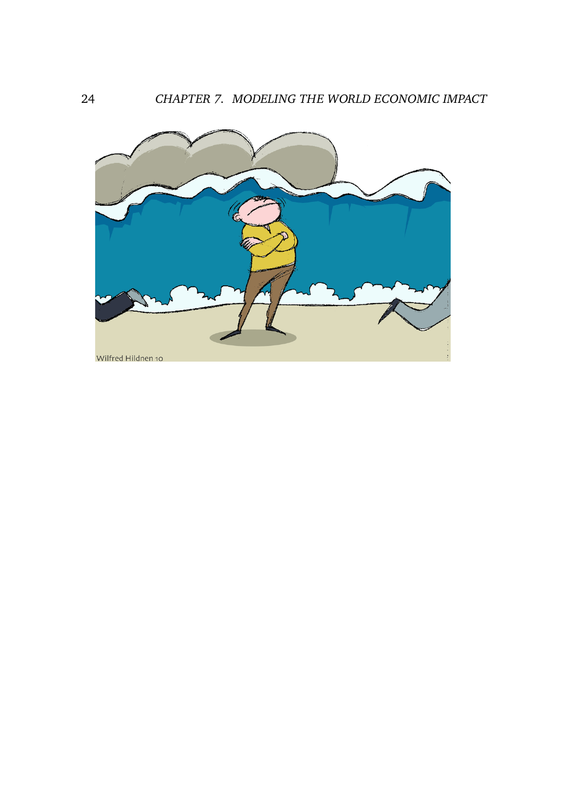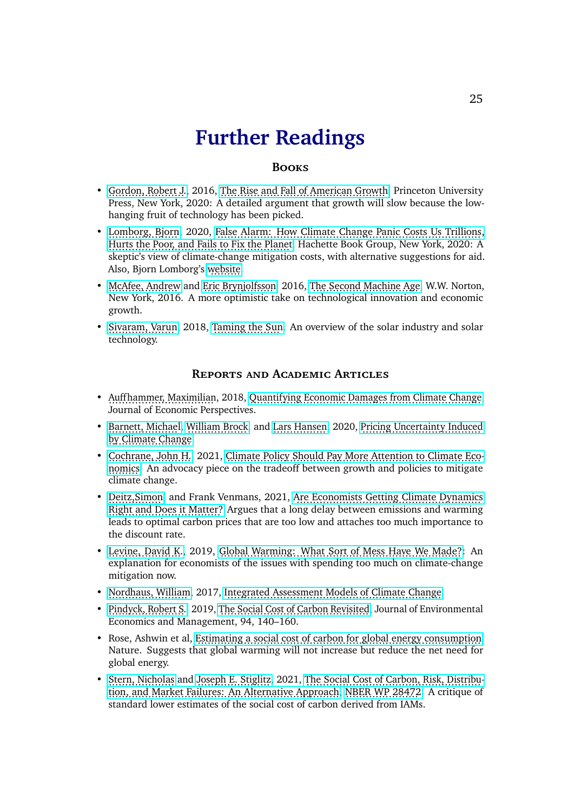### **Further Readings**

#### **Books**

- [Gordon, Robert J.,](https://en.wikipedia.org/wiki/Robert_J._Gordon) 2016, [The Rise and Fall of American Growth,](https://press.princeton.edu/books/paperback/9780691175805/the-rise-and-fall-of-american-growth) Princeton University Press, New York, 2020: A detailed argument that growth will slow because the lowhanging fruit of technology has been picked.
- [Lomborg, Bjorn,](https://en.wikipedia.org/wiki/Bj%C3%B8rn_Lomborg) 2020, [False Alarm: How Climate Change Panic Costs Us Trillions,](https://www.amazon.com/False-Alarm-Climate-Change-Trillions/dp/1541647467) [Hurts the Poor, and Fails to Fix the Planet,](https://www.amazon.com/False-Alarm-Climate-Change-Trillions/dp/1541647467) Hachette Book Group, New York, 2020: A skeptic's view of climate-change mitigation costs, with alternative suggestions for aid. Also, Bjorn Lomborg's [website.](https://www.lomborg.com/)
- [McAfee, Andrew](https://en.wikipedia.org/wiki/Andrew_McAfee) and [Eric Brynjolfsson,](https://en.wikipedia.org/wiki/Erik_Brynjolfsson) 2016, [The Second Machine Age,](https://wwnorton.com/books/the-second-machine-age/) W.W. Norton, New York, 2016. A more optimistic take on technological innovation and economic growth.
- [Sivaram, Varun,](https://www.energypolicy.columbia.edu/dr-varun-sivaram) 2018, [Taming the Sun.](https://www.amazon.com/Taming-Sun-Innovations-Harness-Energy/dp/0262037688) An overview of the solar industry and solar technology.

#### **Reports and Academic Articles**

- Auffhammer, Maximilian, 2018, [Quantifying Economic Damages from Climate Change,](https://pubs.aeaweb.org/doi/pdfplus/10.1257/jep.32.4.33) Journal of Economic Perspectives.
- [Barnett, Michael,](https://wpcarey.asu.edu/people/profile/3490536) [William Brock,](https://en.wikipedia.org/wiki/William_A._Brock) and [Lars Hansen,](https://en.wikipedia.org/wiki/Lars_Peter_Hansen) 2020, [Pricing Uncertainty Induced](https://academic.oup.com/rfs/article/33/3/1024/5735312) [by Climate Change.](https://academic.oup.com/rfs/article/33/3/1024/5735312)
- [Cochrane, John H.,](https://en.wikipedia.org/wiki/John_H._Cochrane) 2021, [Climate Policy Should Pay More Attention to Climate Eco](https://www.nationalreview.com/2021/09/climate-policy-should-pay-more-attention-to-climate-economics/) [nomics.](https://www.nationalreview.com/2021/09/climate-policy-should-pay-more-attention-to-climate-economics/) An advocacy piece on the tradeoff between growth and policies to mitigate climate change.
- Deitz, Simon, and Frank Venmans, 2021, [Are Economists Getting Climate Dynamics](https://www.lse.ac.uk/granthaminstitute/publication/are-economists-getting-climate-dynamics-right-and-does-it-matter/) [Right and Does it Matter?](https://www.lse.ac.uk/granthaminstitute/publication/are-economists-getting-climate-dynamics-right-and-does-it-matter/) Argues that a long delay between emissions and warming leads to optimal carbon prices that are too low and attaches too much importance to the discount rate.
- [Levine, David K.,](https://en.wikipedia.org/wiki/David_K._Levine) 2019, [Global Warming: What Sort of Mess Have We Made?:](http://www.dklevine.com/general/climate.68.pdf) An explanation for economists of the issues with spending too much on climate-change mitigation now.
- [Nordhaus, William,](https://economics.yale.edu/people/faculty/william-nordhaus) 2017, [Integrated Assessment Models of Climate Change.](https://www.nber.org/reporter/2017number3/integrated-assessment-models-climate-change)
- · [Pindyck, Robert S.,](https://en.wikipedia.org/wiki/Robert_Pindyck) 2019, [The Social Cost of Carbon Revisited,](https://www.sciencedirect.com/science/article/abs/pii/S0095069617307131) Journal of Environmental Economics and Management, 94, 140–160.
- Rose, Ashwin et al, [Estimating a social cost of carbon for global energy consumption,](https://www.nature.com/articles/s41586-021-03883-8) Nature. Suggests that global warming will not increase but reduce the net need for global energy.
- [Stern, Nicholas](https://en.wikipedia.org/wiki/Nicholas_Stern,_Baron_Stern_of_Brentford) and [Joseph E. Stiglitz,](https://en.wikipedia.org/wiki/Joseph_Stiglitz) 2021, [The Social Cost of Carbon, Risk, Distribu](https://www.nber.org/papers/w28472) [tion, and Market Failures: An Alternative Approach,](https://www.nber.org/papers/w28472) [NBER WP 28472.](http://www.nber.org/papers/w28472) A critique of standard lower estimates of the social cost of carbon derived from IAMs.